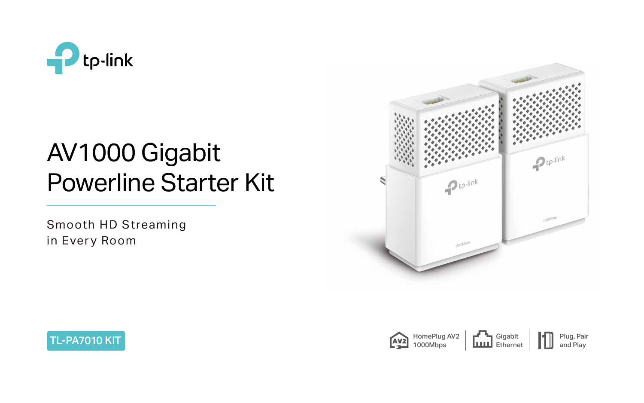

# AV1000 Gigabit Powerline Starter Kit







Smooth HD Streaming in Every Room

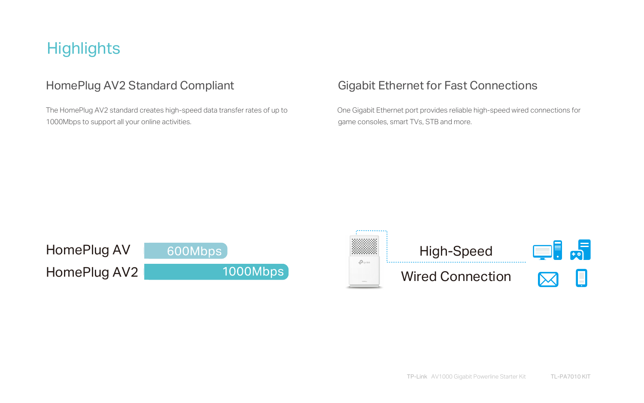The HomePlug AV2 standard creates high-speed data transfer rates of up to 1000Mbps to support all your online activities.

# **Highlights**

#### HomePlug AV2 Standard Compliant

 One Gigabit Ethernet port provides reliable high-speed wired connections for game consoles, smart TVs, STB and more.

#### Gigabit Ethernet for Fast Connections





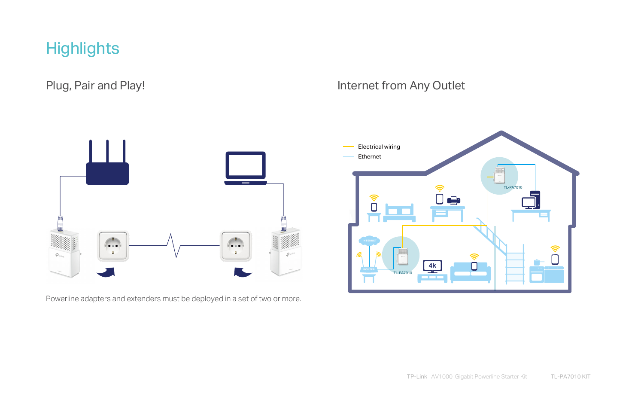# **Highlights**

### Plug, Pair and Play! Internet from Any Outlet

Powerline adapters and extenders must be deployed in a set of two or more.

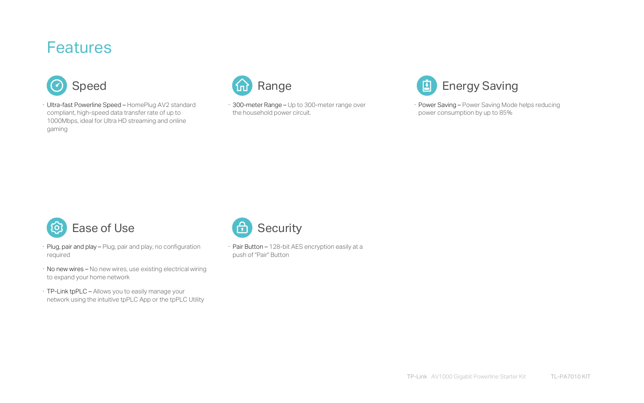- · Plug, pair and play Plug, pair and play, no configuration required
- · No new wires No new wires, use existing electrical wiring to expand your home network
- · TP-Link tpPLC Allows you to easily manage your network using the intuitive tpPLC App or the tpPLC Utility

· Pair Button – 128-bit AES encryption easily at a push of "Pair" Button



· Ultra-fast Powerline Speed – HomePlug AV2 standard compliant, high-speed data transfer rate of up to 1000Mbps, ideal for Ultra HD streaming and online gaming



## **Features**



· 300-meter Range – Up to 300-meter range over the household power circuit.





· Power Saving – Power Saving Mode helps reducing power consumption by up to 85%